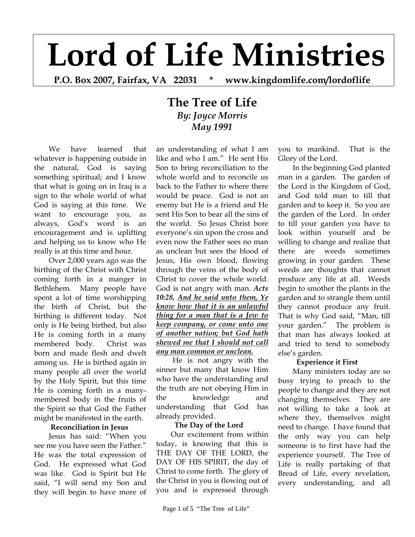# **Lord of Life Ministries**

**P.O. Box 2007, Fairfax, VA 22031 \* www.kingdomlife.com/lordoflife** 

# **The Tree of Life** *By: Joyce Morris May 1991*

We have learned that whatever is happening outside in the natural, God is saying something spiritual; and I know that what is going on in Iraq is a sign to the whole world of what God is saying at this time. We want to encourage you, as always, God's word is an encouragement and is uplifting and helping us to know who He really is at this time and hour.

Over 2,000 years ago was the birthing of the Christ with Christ coming forth in a manger in Bethlehem. Many people have spent a lot of time worshipping the birth of Christ, but the birthing is different today. Not only is He being birthed, but also He is coming forth in a many membered body. Christ was born and made flesh and dwelt among us. He is birthed again in many people all over the world by the Holy Spirit, but this time He is coming forth in a manymembered body in the fruits of the Spirit so that God the Father might be manifested in the earth.

# **Reconciliation in Jesus**

Jesus has said: "When you see me you have seen the Father." He was the total expression of God. He expressed what God was like. God is Spirit but He said, "I will send my Son and they will begin to have more of

an understanding of what I am like and who I am." He sent His Son to bring reconciliation to the whole world and to reconcile us back to the Father to where there would be peace. God is not an enemy but He is a friend and He sent His Son to bear all the sins of the world. So Jesus Christ bore everyone's sin upon the cross and even now the Father sees no man as unclean but sees the blood of Jesus, His own blood, flowing through the veins of the body of Christ to cover the whole world. God is not angry with man. *Acts 10:28, And he said unto them, Ye know how that it is an unlawful thing for a man that is a Jew to keep company, or come unto one of another nation; but God hath shewed me that I should not call any man common or unclean.* 

 He is not angry with the sinner but many that know Him who have the understanding and the truth are not obeying Him in the knowledge and understanding that God has already provided.

# **The Day of the Lord**

Our excitement from within today, is knowing that this is THE DAY OF THE LORD, the DAY OF HIS SPIRIT, the day of Christ to come forth. The glory of the Christ in you is flowing out of you and is expressed through you to mankind. That is the Glory of the Lord.

In the beginning God planted man in a garden. The garden of the Lord is the Kingdom of God, and God told man to till that garden and to keep it. So you are the garden of the Lord. In order to till your garden you have to look within yourself and be willing to change and realize that there are weeds sometimes growing in your garden. These weeds are thoughts that cannot produce any life at all. Weeds begin to smother the plants in the garden and to strangle them until they cannot produce any fruit. That is why God said, "Man, till your garden." The problem is that man has always looked at and tried to tend to somebody else's garden.

# **Experience it First**

Many ministers today are so busy trying to preach to the people to change and they are not changing themselves. They are not willing to take a look at where they, themselves might need to change. I have found that the only way you can help someone is to first have had the experience yourself. The Tree of Life is really partaking of that Bread of Life, every revelation, every understanding, and all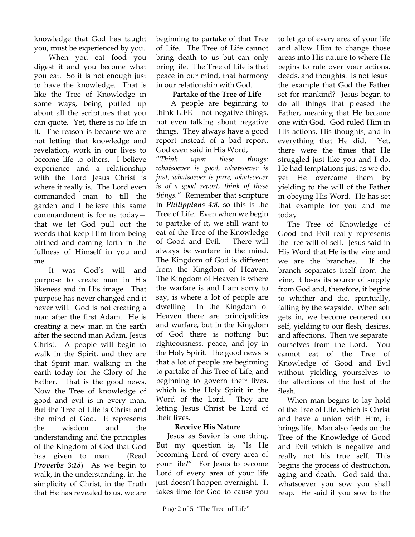knowledge that God has taught you, must be experienced by you.

When you eat food you digest it and you become what you eat. So it is not enough just to have the knowledge. That is like the Tree of Knowledge in some ways, being puffed up about all the scriptures that you can quote. Yet, there is no life in it. The reason is because we are not letting that knowledge and revelation, work in our lives to become life to others. I believe experience and a relationship with the Lord Jesus Christ is where it really is. The Lord even commanded man to till the garden and I believe this same commandment is for us today that we let God pull out the weeds that keep Him from being birthed and coming forth in the fullness of Himself in you and me.

It was God's will and purpose to create man in His likeness and in His image. That purpose has never changed and it never will. God is not creating a man after the first Adam. He is creating a new man in the earth after the second man Adam, Jesus Christ. A people will begin to walk in the Spirit, and they are that Spirit man walking in the earth today for the Glory of the Father. That is the good news. Now the Tree of knowledge of good and evil is in every man. But the Tree of Life is Christ and the mind of God. It represents the wisdom and the understanding and the principles of the Kingdom of God that God has given to man. (Read *Proverbs 3:18*) As we begin to walk, in the understanding, in the simplicity of Christ, in the Truth that He has revealed to us, we are

beginning to partake of that Tree of Life. The Tree of Life cannot bring death to us but can only bring life. The Tree of Life is that peace in our mind, that harmony in our relationship with God.

# **Partake of the Tree of Life**

A people are beginning to think LIFE – not negative things, not even talking about negative things. They always have a good report instead of a bad report. God even said in His Word,

"*Think upon these things: whatsoever is good, whatsoever is just, whatsoever is pure, whatsoever is of a good report, think of these things."* Remember that scripture in *Philippians 4:8,* so this is the Tree of Life. Even when we begin to partake of it, we still want to eat of the Tree of the Knowledge of Good and Evil. There will always be warfare in the mind. The Kingdom of God is different from the Kingdom of Heaven. The Kingdom of Heaven is where the warfare is and I am sorry to say, is where a lot of people are dwelling In the Kingdom of Heaven there are principalities and warfare, but in the Kingdom of God there is nothing but righteousness, peace, and joy in the Holy Spirit. The good news is that a lot of people are beginning to partake of this Tree of Life, and beginning to govern their lives, which is the Holy Spirit in the Word of the Lord. They are letting Jesus Christ be Lord of their lives.

# **Receive His Nature**

 Jesus as Savior is one thing. But my question is, "Is He becoming Lord of every area of your life?" For Jesus to become Lord of every area of your life just doesn't happen overnight. It takes time for God to cause you

to let go of every area of your life and allow Him to change those areas into His nature to where He begins to rule over your actions, deeds, and thoughts. Is not Jesus the example that God the Father set for mankind? Jesus began to do all things that pleased the Father, meaning that He became one with God. God ruled Him in His actions, His thoughts, and in everything that He did. Yet, there were the times that He struggled just like you and I do. He had temptations just as we do, yet He overcame them by yielding to the will of the Father in obeying His Word. He has set that example for you and me today.

 The Tree of Knowledge of Good and Evil really represents the free will of self. Jesus said in His Word that He is the vine and we are the branches. If the branch separates itself from the vine, it loses its source of supply from God and, therefore, it begins to whither and die, spiritually, falling by the wayside. When self gets in, we become centered on self, yielding to our flesh, desires, and affections. Then we separate ourselves from the Lord. You cannot eat of the Tree of Knowledge of Good and Evil without yielding yourselves to the affections of the lust of the flesh.

 When man begins to lay hold of the Tree of Life, which is Christ and have a union with Him, it brings life. Man also feeds on the Tree of the Knowledge of Good and Evil which is negative and really not his true self. This begins the process of destruction, aging and death. God said that whatsoever you sow you shall reap. He said if you sow to the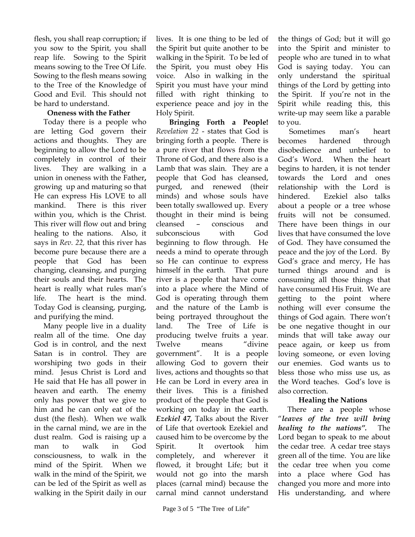flesh, you shall reap corruption; if you sow to the Spirit, you shall reap life. Sowing to the Spirit means sowing to the Tree Of Life. Sowing to the flesh means sowing to the Tree of the Knowledge of Good and Evil. This should not be hard to understand.

### **Oneness with the Father**

 Today there is a people who are letting God govern their actions and thoughts. They are beginning to allow the Lord to be completely in control of their lives. They are walking in a union in oneness with the Father**,**  growing up and maturing so that He can express His LOVE to all mankind. There is this river within you, which is the Christ. This river will flow out and bring healing to the nations. Also, it says in *Rev. 22,* that this river has become pure because there are a people that God has been changing, cleansing, and purging their souls and their hearts. The heart is really what rules man's life. The heart is the mind. Today God is cleansing, purging, and purifying the mind.

 Many people live in a duality realm all of the time. One day God is in control, and the next Satan is in control. They are worshiping two gods in their mind. Jesus Christ is Lord and He said that He has all power in heaven and earth. The enemy only has power that we give to him and he can only eat of the dust (the flesh). When we walk in the carnal mind, we are in the dust realm. God is raising up a man to walk in God consciousness, to walk in the mind of the Spirit. When we walk in the mind of the Spirit, we can be led of the Spirit as well as walking in the Spirit daily in our

lives. It is one thing to be led of the Spirit but quite another to be walking in the Spirit. To be led of the Spirit, you must obey His voice. Also in walking in the Spirit you must have your mind filled with right thinking to experience peace and joy in the Holy Spirit.

 **Bringing Forth a People!**  *Revelation 22* - states that God is bringing forth a people. There is a pure river that flows from the Throne of God, and there also is a Lamb that was slain. They are a people that God has cleansed, purged, and renewed (their minds) and whose souls have been totally swallowed up. Every thought in their mind is being cleansed – conscious and subconscious with God beginning to flow through. He needs a mind to operate through so He can continue to express himself in the earth. That pure river is a people that have come into a place where the Mind of God is operating through them and the nature of the Lamb is being portrayed throughout the land. The Tree of Life is producing twelve fruits a year. Twelve means "divine government". It is a people allowing God to govern their lives, actions and thoughts so that He can be Lord in every area in their lives. This is a finished product of the people that God is working on today in the earth. *Ezekiel 47,* Talks about the River of Life that overtook Ezekiel and caused him to be overcome by the Spirit. It overtook him completely, and wherever it flowed, it brought Life; but it would not go into the marsh places (carnal mind) because the carnal mind cannot understand

the things of God; but it will go into the Spirit and minister to people who are tuned in to what God is saying today. You can only understand the spiritual things of the Lord by getting into the Spirit. If you're not in the Spirit while reading this, this write-up may seem like a parable to you.

 Sometimes man's heart becomes hardened through disobedience and unbelief to God's Word. When the heart begins to harden, it is not tender towards the Lord and ones relationship with the Lord is hindered. Ezekiel also talks about a people or a tree whose fruits will not be consumed. There have been things in our lives that have consumed the love of God. They have consumed the peace and the joy of the Lord. By God's grace and mercy, He has turned things around and is consuming all those things that have consumed His Fruit. We are getting to the point where nothing will ever consume the things of God again. There won't be one negative thought in our minds that will take away our peace again, or keep us from loving someone, or even loving our enemies. God wants us to bless those who miss use us, as the Word teaches. God's love is also correction.

#### **Healing the Nations**

 There are a people whose "*leaves of the tree will bring healing to the nations".* The Lord began to speak to me about the cedar tree. A cedar tree stays green all of the time. You are like the cedar tree when you come into a place where God has changed you more and more into His understanding, and where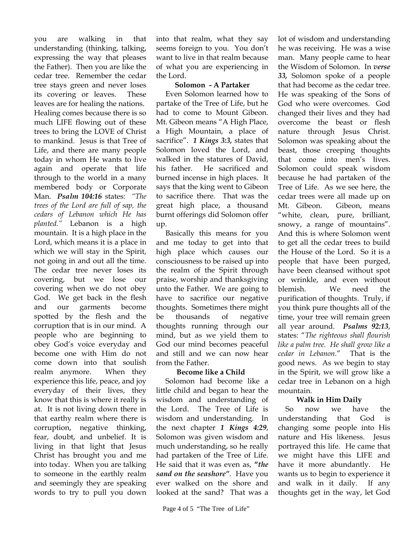you are walking in that understanding (thinking, talking, expressing the way that pleases the Father). Then you are like the cedar tree. Remember the cedar tree stays green and never loses its covering or leaves. These leaves are for healing the nations. Healing comes because there is so much LIFE flowing out of these trees to bring the LOVE of Christ to mankind. Jesus is that Tree of Life, and there are many people today in whom He wants to live again and operate that life through to the world in a many membered body or Corporate Man. *Psalm 104:16* states: *"The trees of the Lord are full of sap, the cedars of Lebanon which He has planted."* Lebanon is a high mountain. It is a high place in the Lord, which means it is a place in which we will stay in the Spirit, not going in and out all the time. The cedar tree never loses its covering, but we lose our covering when we do not obey God. We get back in the flesh and our garments become spotted by the flesh and the corruption that is in our mind. A people who are beginning to obey God's voice everyday and become one with Him do not come down into that soulish realm anymore. When they experience this life, peace, and joy everyday of their lives, they know that this is where it really is at. It is not living down there in that earthy realm where there is corruption, negative thinking, fear, doubt, and unbelief. It is living in that light that Jesus Christ has brought you and me into today. When you are talking to someone in the earthly realm and seemingly they are speaking words to try to pull you down into that realm, what they say seems foreign to you. You don't want to live in that realm because of what you are experiencing in the Lord.

#### **Solomon - A Partaker**

Even Solomon learned how to partake of the Tree of Life, but he had to come to Mount Gibeon. Mt. Gibeon means "A High Place, a High Mountain, a place of sacrifice". *1 Kings 3:3,* states that Solomon loved the Lord, and walked in the statures of David, his father. He sacrificed and burned incense in high places. It says that the king went to Gibeon to sacrifice there. That was the great high place, a thousand burnt offerings did Solomon offer up.

 Basically this means for you and me today to get into that high place which causes our consciousness to be raised up into the realm of the Spirit through praise, worship and thanksgiving unto the Father. We are going to have to sacrifice our negative thoughts. Sometimes there might be thousands of negative thoughts running through our mind, but as we yield them to God our mind becomes peaceful and still and we can now hear from the Father.

# **Become like a Child**

Solomon had become like a little child and began to hear the wisdom and understanding of the Lord. The Tree of Life is wisdom and understanding. In the next chapter *1 Kings 4:29*, Solomon was given wisdom and much understanding, so he really had partaken of the Tree of Life. He said that it was even as, **"***the sand on the seashore"*. Have you ever walked on the shore and looked at the sand? That was a

lot of wisdom and understanding he was receiving. He was a wise man. Many people came to hear the Wisdom of Solomon. In *verse 33,* Solomon spoke of a people that had become as the cedar tree. He was speaking of the Sons of God who were overcomes. God changed their lives and they had overcome the beast or flesh nature through Jesus Christ. Solomon was speaking about the beast, those creeping thoughts that come into men's lives. Solomon could speak wisdom because he had partaken of the Tree of Life. As we see here, the cedar trees were all made up on Mt. Gibeon. Gibeon, means "white, clean, pure, brilliant, snowy, a range of mountains". And this is where Solomon went to get all the cedar trees to build the House of the Lord. So it is a people that have been purged, have been cleansed without spot or wrinkle, and even without blemish. We need the purification of thoughts. Truly, if you think pure thoughts all of the time, your tree will remain green all year around. *Psalms 92:13*, states: "*The righteous shall flourish like a palm tree. He shall grow like a cedar in Lebanon.*" That is the good news. As we begin to stay in the Spirit, we will grow like a cedar tree in Lebanon on a high mountain.

# **Walk in Him Daily**

So now we have the understanding that God is changing some people into His nature and His likeness. Jesus portrayed this life. He came that we might have this LIFE and have it more abundantly. He wants us to begin to experience it and walk in it daily. If any thoughts get in the way, let God